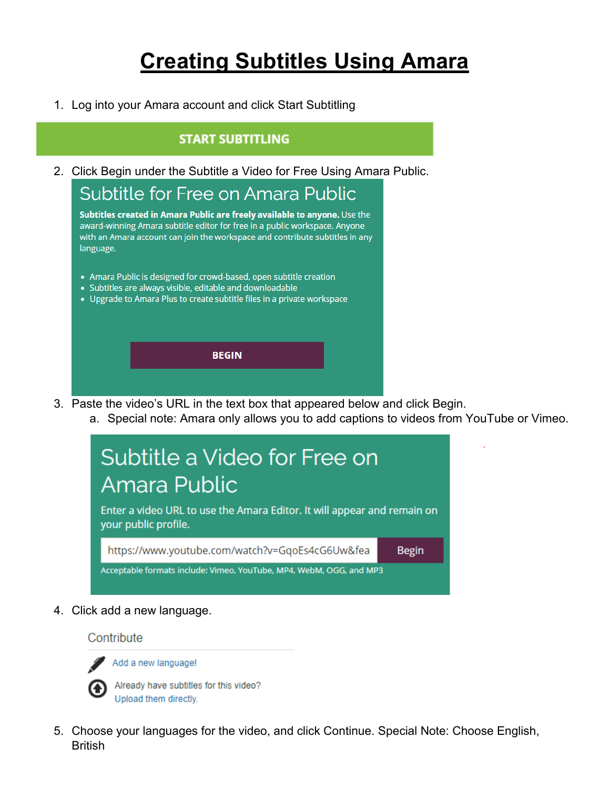# **Creating Subtitles Using Amara**

1. Log into your Amara account and click Start Subtitling

#### **START SUBTITLING**

2. Click Begin under the Subtitle a Video for Free Using Amara Public.

Subtitle for Free on Amara Public

Subtitles created in Amara Public are freely available to anyone. Use the award-winning Amara subtitle editor for free in a public workspace. Anyone with an Amara account can join the workspace and contribute subtitles in any language.

- Amara Public is designed for crowd-based, open subtitle creation
- Subtitles are always visible, editable and downloadable
- Upgrade to Amara Plus to create subtitle files in a private workspace

**BEGIN** 

3. Paste the video's URL in the text box that appeared below and click Begin.

a. Special note: Amara only allows you to add captions to videos from YouTube or Vimeo.



4. Click add a new language.

Contribute



Add a new language!

Already have subtitles for this video? Upload them directly.

5. Choose your languages for the video, and click Continue. Special Note: Choose English, **British**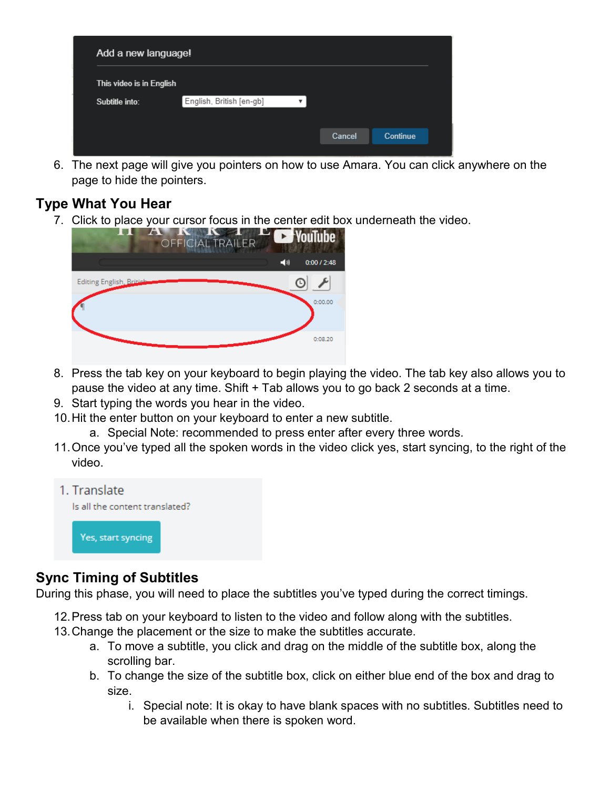| Add a new language!      |                          |  |        |                 |  |
|--------------------------|--------------------------|--|--------|-----------------|--|
| This video is in English |                          |  |        |                 |  |
| Subtitle into:           | English, British [en-gb] |  |        |                 |  |
|                          |                          |  |        |                 |  |
|                          |                          |  | Cancel | <b>Continue</b> |  |

6. The next page will give you pointers on how to use Amara. You can click anywhere on the page to hide the pointers.

## **Type What You Hear**

7. Click to place your cursor focus in the center edit box underneath the video.



- 8. Press the tab key on your keyboard to begin playing the video. The tab key also allows you to pause the video at any time. Shift + Tab allows you to go back 2 seconds at a time.
- 9. Start typing the words you hear in the video.
- 10.Hit the enter button on your keyboard to enter a new subtitle.
	- a. Special Note: recommended to press enter after every three words.
- 11.Once you've typed all the spoken words in the video click yes, start syncing, to the right of the video.



### **Sync Timing of Subtitles**

During this phase, you will need to place the subtitles you've typed during the correct timings.

- 12.Press tab on your keyboard to listen to the video and follow along with the subtitles.
- 13.Change the placement or the size to make the subtitles accurate.
	- a. To move a subtitle, you click and drag on the middle of the subtitle box, along the scrolling bar.
	- b. To change the size of the subtitle box, click on either blue end of the box and drag to size.
		- i. Special note: It is okay to have blank spaces with no subtitles. Subtitles need to be available when there is spoken word.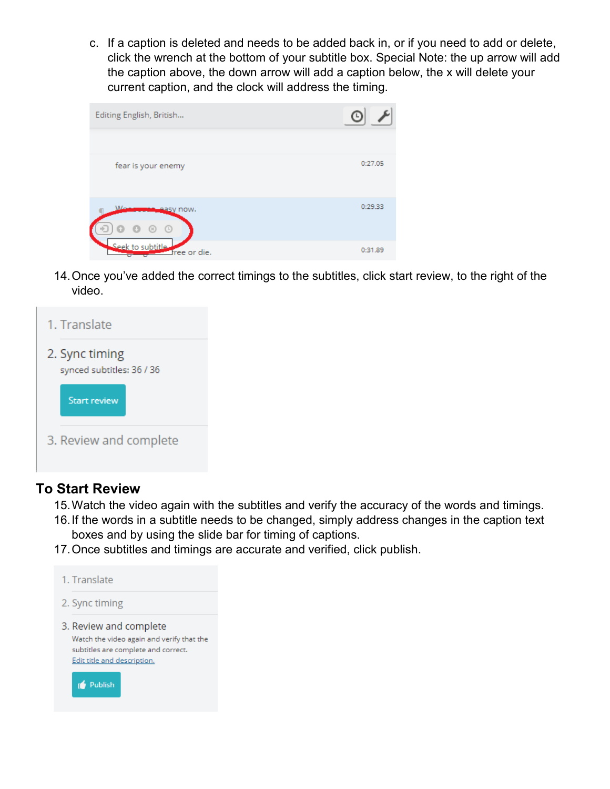c. If a caption is deleted and needs to be added back in, or if you need to add or delete, click the wrench at the bottom of your subtitle box. Special Note: the up arrow will add the caption above, the down arrow will add a caption below, the x will delete your current caption, and the clock will address the timing.

| Editing English, British                  |         |
|-------------------------------------------|---------|
| fear is your enemy                        | 0:27.05 |
| Ma<br><b>Leasy now.</b><br>$\circ$<br>(x) | 0:29.33 |
| Seek to subtitle<br>free or die.          | 0:31.89 |

14.Once you've added the correct timings to the subtitles, click start review, to the right of the video.



#### **To Start Review**

- 15.Watch the video again with the subtitles and verify the accuracy of the words and timings.
- 16.If the words in a subtitle needs to be changed, simply address changes in the caption text boxes and by using the slide bar for timing of captions.
- 17.Once subtitles and timings are accurate and verified, click publish.

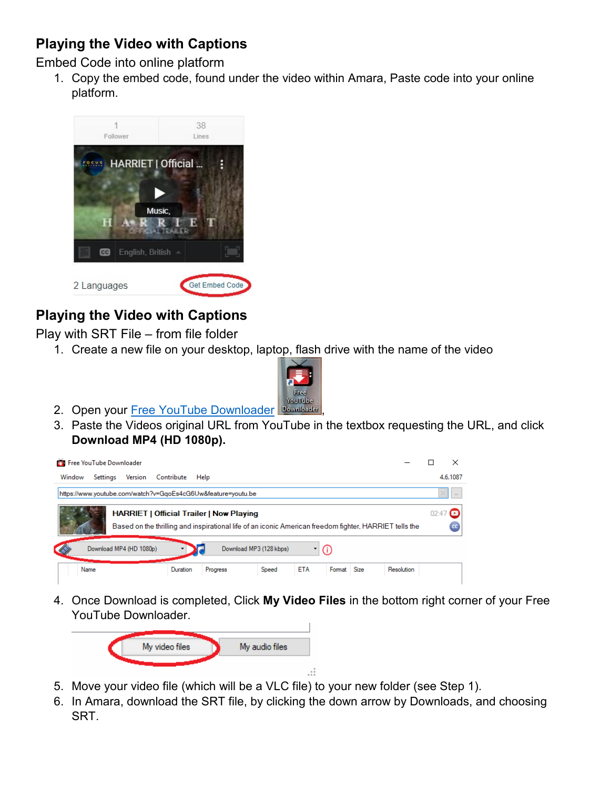# **Playing the Video with Captions**

Embed Code into online platform

1. Copy the embed code, found under the video within Amara, Paste code into your online platform.



# **Playing the Video with Captions**

Play with SRT File – from file folder

1. Create a new file on your desktop, laptop, flash drive with the name of the video



- 2. Open your [Free YouTube Downloader](https://download.cnet.com/Free-YouTube-Downloader/3000-2071_4-75219434.html) Downloader
- 3. Paste the Videos original URL from YouTube in the textbox requesting the URL, and click **Download MP4 (HD 1080p).**



4. Once Download is completed, Click **My Video Files** in the bottom right corner of your Free YouTube Downloader.



- 5. Move your video file (which will be a VLC file) to your new folder (see Step 1).
- 6. In Amara, download the SRT file, by clicking the down arrow by Downloads, and choosing SRT.